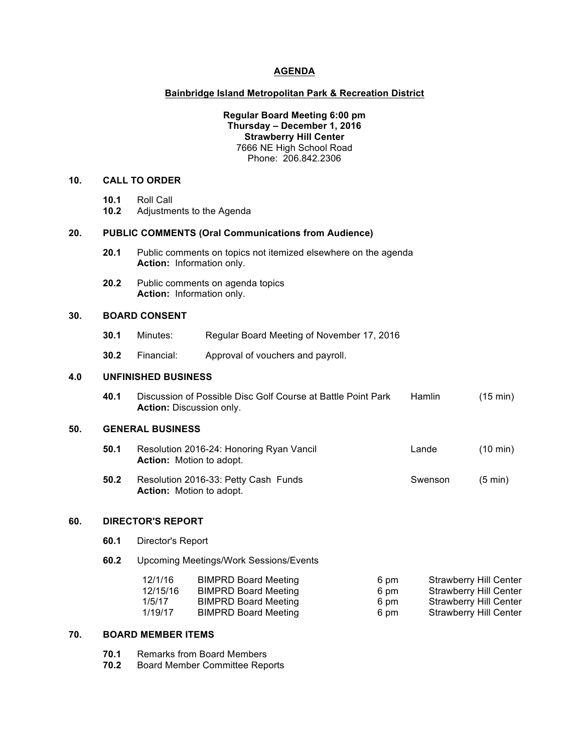### **AGENDA**

### **Bainbridge Island Metropolitan Park & Recreation District**

# **Regular Board Meeting 6:00 pm Thursday – December 1, 2016 Strawberry Hill Center** 7666 NE High School Road Phone: 206.842.2306

### **10. CALL TO ORDER**

- **10.1** Roll Call
- **10.2** Adjustments to the Agenda

#### **20. PUBLIC COMMENTS (Oral Communications from Audience)**

- **20.1** Public comments on topics not itemized elsewhere on the agenda **Action:** Information only.
- **20.2** Public comments on agenda topics **Action:** Information only.

# **30. BOARD CONSENT**

- **30.1** Minutes: Regular Board Meeting of November 17, 2016
- **30.2** Financial: Approval of vouchers and payroll.

# **4.0 UNFINISHED BUSINESS**

**40.1** Discussion of Possible Disc Golf Course at Battle Point Park Hamlin (15 min) **Action:** Discussion only.

# **50. GENERAL BUSINESS**

- **50.1** Resolution 2016-24: Honoring Ryan Vancil **Lande** (10 min) **Action:** Motion to adopt.
- **50.2** Resolution 2016-33: Petty Cash Funds Swenson (5 min) **Action:** Motion to adopt.

## **60. DIRECTOR'S REPORT**

- **60.1** Director's Report
- **60.2** Upcoming Meetings/Work Sessions/Events

| 12/1/16  | <b>BIMPRD Board Meeting</b> | 6 pm | <b>Strawberry Hill Center</b> |
|----------|-----------------------------|------|-------------------------------|
| 12/15/16 | BIMPRD Board Meeting        | 6 pm | <b>Strawberry Hill Center</b> |
| 1/5/17   | <b>BIMPRD Board Meeting</b> | 6 pm | <b>Strawberry Hill Center</b> |
| 1/19/17  | BIMPRD Board Meeting        | 6 pm | <b>Strawberry Hill Center</b> |

#### **70. BOARD MEMBER ITEMS**

- **70.1** Remarks from Board Members
- **70.2** Board Member Committee Reports